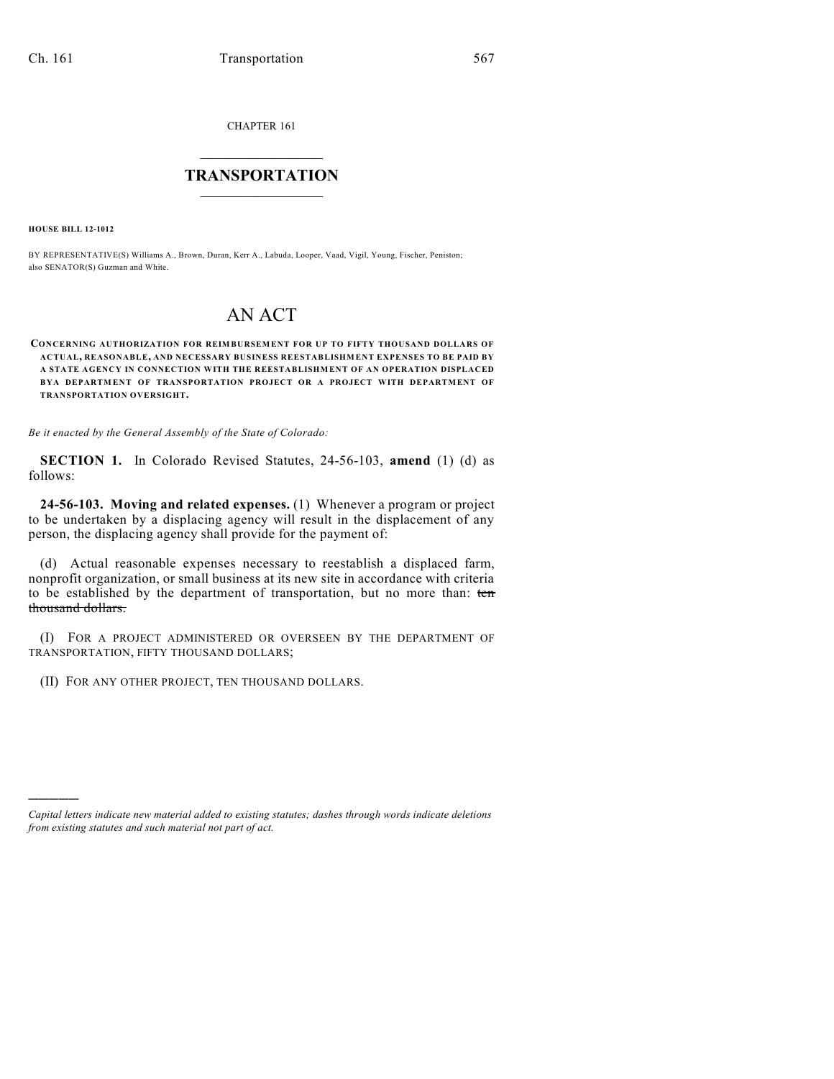CHAPTER 161

## $\overline{\phantom{a}}$  . The set of the set of the set of the set of the set of the set of the set of the set of the set of the set of the set of the set of the set of the set of the set of the set of the set of the set of the set o **TRANSPORTATION**  $\_$   $\_$   $\_$   $\_$   $\_$   $\_$   $\_$   $\_$   $\_$

**HOUSE BILL 12-1012**

)))))

BY REPRESENTATIVE(S) Williams A., Brown, Duran, Kerr A., Labuda, Looper, Vaad, Vigil, Young, Fischer, Peniston; also SENATOR(S) Guzman and White.

## AN ACT

**CONCERNING AUTHORIZATION FOR REIMBURSEMENT FOR UP TO FIFTY THOUSAND DOLLARS OF ACTUAL, REASONABLE, AND NECESSARY BUSINESS REESTABLISHMENT EXPENSES TO BE PAID BY A STATE AGENCY IN CONNECTION WITH THE REESTABLISHMENT OF AN OPERATION DISPLACED BYA DEPARTM ENT OF TRANSPORTATION PROJECT OR A PROJECT WITH DEPARTMENT OF TRANSPORTATION OVERSIGHT.**

*Be it enacted by the General Assembly of the State of Colorado:*

**SECTION 1.** In Colorado Revised Statutes, 24-56-103, **amend** (1) (d) as follows:

**24-56-103. Moving and related expenses.** (1) Whenever a program or project to be undertaken by a displacing agency will result in the displacement of any person, the displacing agency shall provide for the payment of:

(d) Actual reasonable expenses necessary to reestablish a displaced farm, nonprofit organization, or small business at its new site in accordance with criteria to be established by the department of transportation, but no more than: ten thousand dollars.

(I) FOR A PROJECT ADMINISTERED OR OVERSEEN BY THE DEPARTMENT OF TRANSPORTATION, FIFTY THOUSAND DOLLARS;

(II) FOR ANY OTHER PROJECT, TEN THOUSAND DOLLARS.

*Capital letters indicate new material added to existing statutes; dashes through words indicate deletions from existing statutes and such material not part of act.*